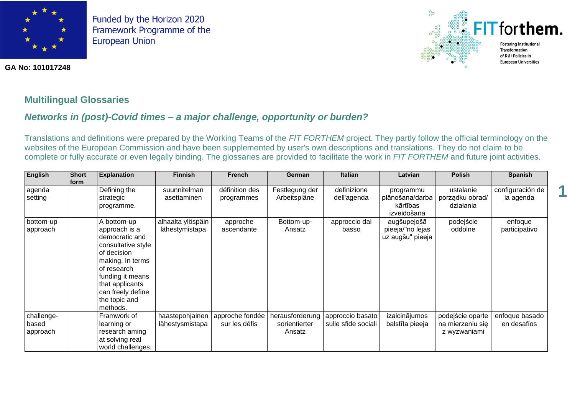

**GA No: 101017248**



**1**

# **Multilingual Glossaries**

# *Networks in (post)-Covid times – a major challenge, opportunity or burden?*

Translations and definitions were prepared by the Working Teams of the *FIT FORTHEM* project. They partly follow the official terminology on the websites of the European Commission and have been supplemented by user's own descriptions and translations. They do not claim to be complete or fully accurate or even legally binding. The glossaries are provided to facilitate the work in *FIT FORTHEM* and future joint activities.

| <b>English</b>                  | <b>Short</b><br>form | <b>Explanation</b>                                                                                                                                                                                              | <b>Finnish</b>                      | French                           | German                                     | Italian                                 | Latvian                                                 | <b>Polish</b>                                        | Spanish                       |
|---------------------------------|----------------------|-----------------------------------------------------------------------------------------------------------------------------------------------------------------------------------------------------------------|-------------------------------------|----------------------------------|--------------------------------------------|-----------------------------------------|---------------------------------------------------------|------------------------------------------------------|-------------------------------|
| agenda<br>setting               |                      | Defining the<br>strategic<br>programme.                                                                                                                                                                         | suunnitelman<br>asettaminen         | définition des<br>programmes     | Festlegung der<br>Arbeitspläne             | definizione<br>dell'agenda              | programmu<br>plānošana/darba<br>kārtības<br>izveidošana | ustalanie<br>porządku obrad/<br>działania            | configuración de<br>la agenda |
| bottom-up<br>approach           |                      | A bottom-up<br>approach is a<br>democratic and<br>consultative style<br>of decision<br>making. In terms<br>of research<br>funding it means<br>that applicants<br>can freely define<br>the topic and<br>methods. | alhaalta ylöspäin<br>lähestymistapa | approche<br>ascendante           | Bottom-up-<br>Ansatz                       | approccio dal<br>basso                  | augšupejošā<br>pieeja/"no lejas<br>uz augšu" pieeja     | podejście<br>oddolne                                 | enfoque<br>participativo      |
| challenge-<br>based<br>approach |                      | Framwork of<br>learning or<br>research aming<br>at solving real<br>world challenges.                                                                                                                            | haastepohjainen<br>lähestysmistapa  | approche fondée<br>sur les défis | herausforderung<br>sorientierter<br>Ansatz | approccio basato<br>sulle sfide sociali | izaicinājumos<br>balstīta pieeja                        | podejście oparte<br>na mierzeniu się<br>z wyzwaniami | enfoque basado<br>en desafíos |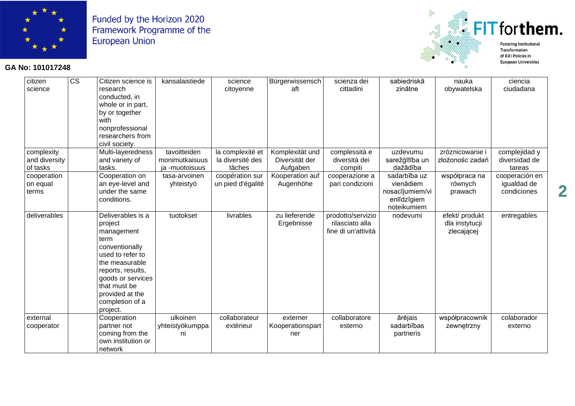

### **GA No: 101017248**



| citizen<br>science                      | $\overline{\text{cs}}$ | Citizen science is<br>research<br>conducted, in<br>whole or in part,<br>by or together<br>with<br>nonprofessional<br>researchers from<br>civil society.                                                                | kansalaistiede                                   | science<br>citoyenne                           | Bürgerwissensch<br>aft                        | scienza dei<br>cittadini                                    | sabiedriskā<br>zinātne                                                     | nauka<br>obywatelska                           | ciencia<br>ciudadana                         |
|-----------------------------------------|------------------------|------------------------------------------------------------------------------------------------------------------------------------------------------------------------------------------------------------------------|--------------------------------------------------|------------------------------------------------|-----------------------------------------------|-------------------------------------------------------------|----------------------------------------------------------------------------|------------------------------------------------|----------------------------------------------|
| complexity<br>and diversity<br>of tasks |                        | Multi-layeredness<br>and variety of<br>tasks.                                                                                                                                                                          | tavoitteiden<br>monimutkaisuus<br>ja -muotoisuus | la complexité et<br>la diversité des<br>tâches | Komplexität und<br>Diversität der<br>Aufgaben | complessità e<br>diversità dei<br>compiti                   | uzdevumu<br>sarežģītība un<br>dažādība                                     | zróznicowanie i<br>złożonośc zadań             | complejidad y<br>diversidad de<br>tareas     |
| cooperation<br>on equal<br>terms        |                        | Cooperation on<br>an eye-level and<br>under the same<br>conditions.                                                                                                                                                    | tasa-arvoinen<br>yhteistyö                       | coopération sur<br>un pied d'égalité           | Kooperation auf<br>Augenhöhe                  | cooperazione a<br>pari condizioni                           | sadarbība uz<br>vienādiem<br>nosacījumiem/vi<br>enlīdzīgiem<br>noteikumiem | współpraca na<br>równych<br>prawach            | cooperación en<br>igualdad de<br>condiciones |
| deliverables                            |                        | Deliverables is a<br>project<br>management<br>term<br>conventionally<br>used to refer to<br>the measurable<br>reports, results,<br>goods or services<br>that must be<br>provided at the<br>completion of a<br>project. | tuotokset                                        | livrables                                      | zu lieferende<br>Ergebnisse                   | prodotto/servizio<br>rilasciato alla<br>fine di un'attività | nodevumi                                                                   | efekt/ produkt<br>dla instytucji<br>zlecającej | entregables                                  |
| external<br>cooperator                  |                        | Cooperation<br>partner not<br>coming from the<br>own institution or<br>network                                                                                                                                         | ulkoinen<br>yhteistyökumppa<br>ni                | collaborateur<br>extérieur                     | externer<br>Kooperationspart<br>ner           | collaboratore<br>esterno                                    | ārējais<br>sadarbības<br>partneris                                         | współpracownik<br>zewnętrzny                   | colaborador<br>externo                       |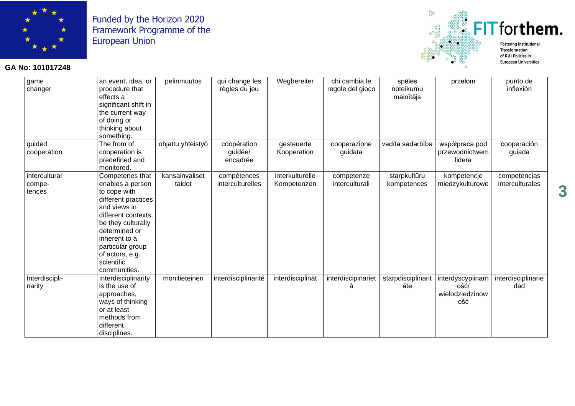

#### GA No: 101017248



| game<br>changer                   | an event, idea, or<br>procedure that<br>effects a<br>significant shift in<br>the current way<br>of doing or<br>thinking about                                                                                                                  | pelinmuutos              | qui change les<br>règles du jeu    | Wegbereiter                    | chi cambia le<br>regole del gioco | spēles<br>noteikumu<br>mainītājs | przełom                                             | punto de<br>inflexión           |
|-----------------------------------|------------------------------------------------------------------------------------------------------------------------------------------------------------------------------------------------------------------------------------------------|--------------------------|------------------------------------|--------------------------------|-----------------------------------|----------------------------------|-----------------------------------------------------|---------------------------------|
| guided<br>cooperation             | something.<br>The from of<br>cooperation is<br>predefined and<br>monitored.                                                                                                                                                                    | ohjattu yhteistyö        | coopération<br>guidée/<br>encadrée | gesteuerte<br>Kooperation      | cooperazione<br>guidata           | vadīta sadarbība                 | współpraca pod<br>przewodnictwem<br>lidera          | cooperación<br>guiada           |
| intercultural<br>compe-<br>tences | Competenes that<br>enables a person<br>to cope with<br>different practices<br>and views in<br>different contexts,<br>be they culturally<br>determined or<br>inherent to a<br>particular group<br>of actors, e.g.<br>scientific<br>communities. | kansainvaliset<br>taidot | compétences<br>interculturelles    | interkulturelle<br>Kompetenzen | competenze<br>interculturali      | starpkultūru<br>kompetences      | kompetencje<br>miedzykulturowe                      | competencias<br>interculturales |
| Interdiscipli-<br>narity          | Interdisciplinarity<br>is the use of<br>approaches,<br>ways of thinking<br>or at least<br>methods from<br>different<br>disciplines.                                                                                                            | monitieteinen            | interdisciplinarité                | interdisciplinät               | interdiscipinariet<br>à           | starpdisciplinarit<br>āte        | interdyscyplinarn<br>ość/<br>wielodziedzinow<br>ość | interdisciplinarie<br>dad       |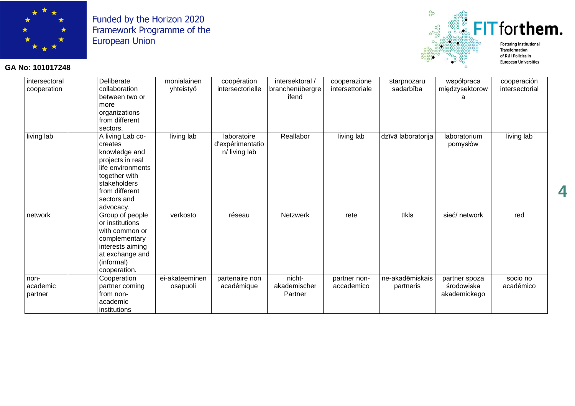

# $80^{\circ}$ FIT for them.  $\frac{80000}{10000}$ **Fostering Institutional**

**GA No: 101017248**



| intersectoral<br>cooperation | Deliberate<br>collaboration<br>between two or<br>more<br>organizations<br>from different<br>sectors.                                                                 | monialainen<br>yhteistyö   | coopération<br>intersectorielle                  | intersektoral /<br>branchenübergre<br>ifend | cooperazione<br>intersettoriale | starpnozaru<br>sadarbība     | współpraca<br>międzysektorow                | cooperación<br>intersectorial |
|------------------------------|----------------------------------------------------------------------------------------------------------------------------------------------------------------------|----------------------------|--------------------------------------------------|---------------------------------------------|---------------------------------|------------------------------|---------------------------------------------|-------------------------------|
| living lab                   | A living Lab co-<br>creates<br>knowledge and<br>projects in real<br>life environments<br>together with<br>stakeholders<br>from different<br>sectors and<br>advocacy. | living lab                 | laboratoire<br>d'expérimentatio<br>n/ living lab | Reallabor                                   | living lab                      | dzīvā laboratorija           | laboratorium<br>pomysłów                    | living lab                    |
| network                      | Group of people<br>or institutions<br>with common or<br>complementary<br>interests aiming<br>at exchange and<br>(informal)<br>cooperation.                           | verkosto                   | réseau                                           | Netzwerk                                    | rete                            | tīkls                        | sieć/ network                               | red                           |
| non-<br>academic<br>partner  | Cooperation<br>partner coming<br>from non-<br>academic<br>institutions                                                                                               | ei-akateeminen<br>osapuoli | partenaire non<br>académique                     | nicht-<br>akademischer<br>Partner           | partner non-<br>accademico      | ne-akadēmiskais<br>partneris | partner spoza<br>środowiska<br>akademickego | socio no<br>académico         |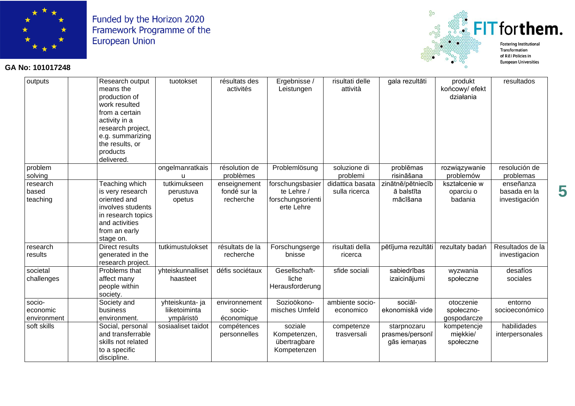

### **GA No: 101017248**



| outputs                       | Research output<br>means the<br>production of<br>work resulted<br>from a certain<br>activity in a<br>research project,<br>e.g. summarizing<br>the results, or<br>products<br>delivered. | tuotokset                           | résultats des<br>activités                | Ergebnisse /<br>Leistungen                                        | risultati delle<br>attività       | gala rezultāti                                | produkt<br>końcowy/ efekt<br>działania | resultados                                 |
|-------------------------------|-----------------------------------------------------------------------------------------------------------------------------------------------------------------------------------------|-------------------------------------|-------------------------------------------|-------------------------------------------------------------------|-----------------------------------|-----------------------------------------------|----------------------------------------|--------------------------------------------|
| problem                       |                                                                                                                                                                                         | ongelmanratkais                     | résolution de                             | Problemlösung                                                     | soluzione di                      | problēmas                                     | rozwiązywanie                          | resolución de                              |
| solving                       |                                                                                                                                                                                         | u                                   | problèmes                                 |                                                                   | problemi                          | risināšana                                    | problemów                              | problemas                                  |
| research<br>based<br>teaching | Teaching which<br>is very research<br>oriented and<br>involves students<br>in research topics<br>and activities<br>from an early<br>stage on.                                           | tutkimukseen<br>perustuva<br>opetus | enseignement<br>fondé sur la<br>recherche | forschungsbasier<br>te Lehre /<br>forschungsorienti<br>erte Lehre | didattica basata<br>sulla ricerca | zinātnē/pētniecīb<br>ā balstīta<br>mācīšana   | kształcenie w<br>oparciu o<br>badania  | enseñanza<br>basada en la<br>investigación |
| research<br>results           | <b>Direct results</b><br>generated in the<br>research project.                                                                                                                          | tutkimustulokset                    | résultats de la<br>recherche              | Forschungserge<br>bnisse                                          | risultati della<br>ricerca        | pētījuma rezultāti                            | rezultaty badań                        | Resultados de la<br>investigacion          |
| societal<br>challenges        | Problems that<br>affect many<br>people within<br>society.                                                                                                                               | yhteiskunnalliset<br>haasteet       | défis sociétaux                           | Gesellschaft-<br>liche<br>Herausforderung                         | sfide sociali                     | sabiedrības<br>izaicinājumi                   | wyzwania<br>społeczne                  | desafíos<br>sociales                       |
| socio-                        | Society and                                                                                                                                                                             | yhteiskunta- ja                     | environnement                             | Sozioökono-                                                       | ambiente socio-                   | sociāl-                                       | otoczenie                              | entorno                                    |
| economic                      | business                                                                                                                                                                                | liiketoiminta                       | socio-                                    | misches Umfeld                                                    | economico                         | ekonomiskā vide                               | społeczno-                             | socioeconómico                             |
| environment                   | environment.                                                                                                                                                                            | ympäristö                           | économique                                |                                                                   |                                   |                                               | gospodarcze                            |                                            |
| soft skills                   | Social, personal<br>and transferrable<br>skills not related<br>to a specific<br>discipline.                                                                                             | sosiaaliset taidot                  | compétences<br>personnelles               | soziale<br>Kompetenzen,<br>übertragbare<br>Kompetenzen            | competenze<br>trasversali         | starpnozaru<br>prasmes/personī<br>gās iemaņas | kompetencje<br>miękkie/<br>społeczne   | habilidades<br>interpersonales             |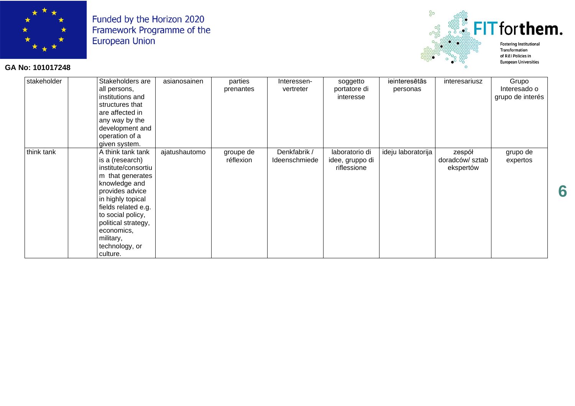

#### **GA No: 101017248**



| stakeholder | Stakeholders are    | asianosainen  | parties   | Interessen-   | soggetto        | ieinteresētās      | interesariusz   | Grupo            |
|-------------|---------------------|---------------|-----------|---------------|-----------------|--------------------|-----------------|------------------|
|             | all persons,        |               | prenantes | vertreter     | portatore di    | personas           |                 | Interesado o     |
|             | institutions and    |               |           |               | interesse       |                    |                 | grupo de interés |
|             | structures that     |               |           |               |                 |                    |                 |                  |
|             | are affected in     |               |           |               |                 |                    |                 |                  |
|             | any way by the      |               |           |               |                 |                    |                 |                  |
|             | development and     |               |           |               |                 |                    |                 |                  |
|             | operation of a      |               |           |               |                 |                    |                 |                  |
|             | given system.       |               |           |               |                 |                    |                 |                  |
| think tank  | A think tank tank   | ajatushautomo | groupe de | Denkfabrik /  | laboratorio di  | ideju laboratorija | zespół          | grupo de         |
|             | is a (research)     |               | réflexion | Ideenschmiede | idee, gruppo di |                    | doradców/ sztab | expertos         |
|             | institute/consortiu |               |           |               | riflessione     |                    | ekspertów       |                  |
|             | m that generates    |               |           |               |                 |                    |                 |                  |
|             | knowledge and       |               |           |               |                 |                    |                 |                  |
|             | provides advice     |               |           |               |                 |                    |                 |                  |
|             | in highly topical   |               |           |               |                 |                    |                 |                  |
|             | fields related e.g. |               |           |               |                 |                    |                 |                  |
|             | to social policy,   |               |           |               |                 |                    |                 |                  |
|             | political strategy, |               |           |               |                 |                    |                 |                  |
|             | economics,          |               |           |               |                 |                    |                 |                  |
|             | military,           |               |           |               |                 |                    |                 |                  |
|             | technology, or      |               |           |               |                 |                    |                 |                  |
|             | culture.            |               |           |               |                 |                    |                 |                  |